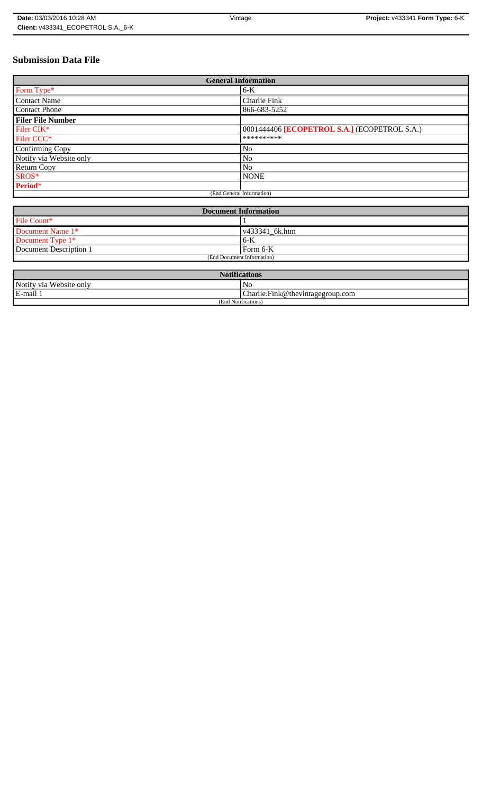# **Submission Data File**

| <b>General Information</b> |                                              |
|----------------------------|----------------------------------------------|
| Form Type*                 | $6-K$                                        |
| <b>Contact Name</b>        | Charlie Fink                                 |
| <b>Contact Phone</b>       | 866-683-5252                                 |
| <b>Filer File Number</b>   |                                              |
| Filer CIK*                 | 0001444406 [ECOPETROL S.A.] (ECOPETROL S.A.) |
| Filer CCC <sup>*</sup>     | **********                                   |
| Confirming Copy            | No                                           |
| Notify via Website only    | N <sub>o</sub>                               |
| <b>Return Copy</b>         | N <sub>o</sub>                               |
| SROS*                      | <b>NONE</b>                                  |
| Period*                    |                                              |
| (End General Information)  |                                              |

| <b>Document Information</b> |                        |
|-----------------------------|------------------------|
| File Count*                 |                        |
| Document Name 1*            | $\sqrt{433341}$ 6k.htm |
| Document Type 1*            | 6-K                    |
| Document Description 1      | l Form 6-K             |
| (End Document Information)  |                        |

| <b>Notifications</b>    |                                  |
|-------------------------|----------------------------------|
| Notify via Website only | N <sub>0</sub>                   |
| E-mail 1                | Charlie.Fink@thevintagegroup.com |
| (End Notifications)     |                                  |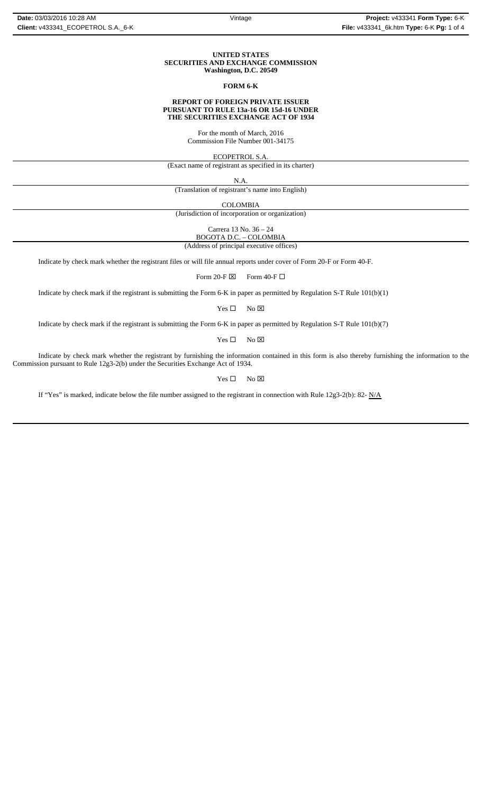### **UNITED STATES SECURITIES AND EXCHANGE COMMISSION Washington, D.C. 20549**

## **FORM 6-K**

### **REPORT OF FOREIGN PRIVATE ISSUER PURSUANT TO RULE 13a-16 OR 15d-16 UNDER THE SECURITIES EXCHANGE ACT OF 1934**

For the month of March, 2016 Commission File Number 001-34175

ECOPETROL S.A.

(Exact name of registrant as specified in its charter)

N.A.

(Translation of registrant's name into English)

COLOMBIA

(Jurisdiction of incorporation or organization)

Carrera 13 No. 36 – 24

BOGOTA D.C. – COLOMBIA (Address of principal executive offices)

Indicate by check mark whether the registrant files or will file annual reports under cover of Form 20-F or Form 40-F.

Form 20-F  $\boxtimes$  Form 40-F  $\Box$ 

Indicate by check mark if the registrant is submitting the Form 6-K in paper as permitted by Regulation S-T Rule 101(b)(1)

 $Yes \Box$  No  $\boxtimes$ 

Indicate by check mark if the registrant is submitting the Form 6-K in paper as permitted by Regulation S-T Rule 101(b)(7)

 $Yes \Box$  No  $\boxtimes$ 

Indicate by check mark whether the registrant by furnishing the information contained in this form is also thereby furnishing the information to the Commission pursuant to Rule 12g3-2(b) under the Securities Exchange Act of 1934.

 $Yes \Box$  No  $\boxtimes$ 

If "Yes" is marked, indicate below the file number assigned to the registrant in connection with Rule 12g3-2(b): 82-  $N/A$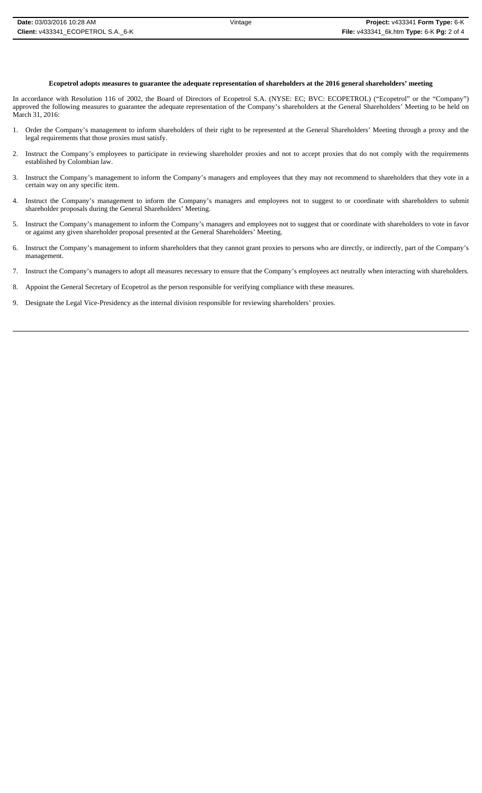## **Ecopetrol adopts measures to guarantee the adequate representation of shareholders at the 2016 general shareholders' meeting**

In accordance with Resolution 116 of 2002, the Board of Directors of Ecopetrol S.A. (NYSE: EC; BVC: ECOPETROL) ("Ecopetrol" or the "Company") approved the following measures to guarantee the adequate representation of the Company's shareholders at the General Shareholders' Meeting to be held on March 31, 2016:

- 1. Order the Company's management to inform shareholders of their right to be represented at the General Shareholders' Meeting through a proxy and the legal requirements that those proxies must satisfy.
- 2. Instruct the Company's employees to participate in reviewing shareholder proxies and not to accept proxies that do not comply with the requirements established by Colombian law.
- 3. Instruct the Company's management to inform the Company's managers and employees that they may not recommend to shareholders that they vote in a certain way on any specific item.
- 4. Instruct the Company's management to inform the Company's managers and employees not to suggest to or coordinate with shareholders to submit shareholder proposals during the General Shareholders' Meeting.
- 5. Instruct the Company's management to inform the Company's managers and employees not to suggest that or coordinate with shareholders to vote in favor or against any given shareholder proposal presented at the General Shareholders' Meeting.
- 6. Instruct the Company's management to inform shareholders that they cannot grant proxies to persons who are directly, or indirectly, part of the Company's management.
- 7. Instruct the Company's managers to adopt all measures necessary to ensure that the Company's employees act neutrally when interacting with shareholders.
- 8. Appoint the General Secretary of Ecopetrol as the person responsible for verifying compliance with these measures.
- 9. Designate the Legal Vice-Presidency as the internal division responsible for reviewing shareholders' proxies.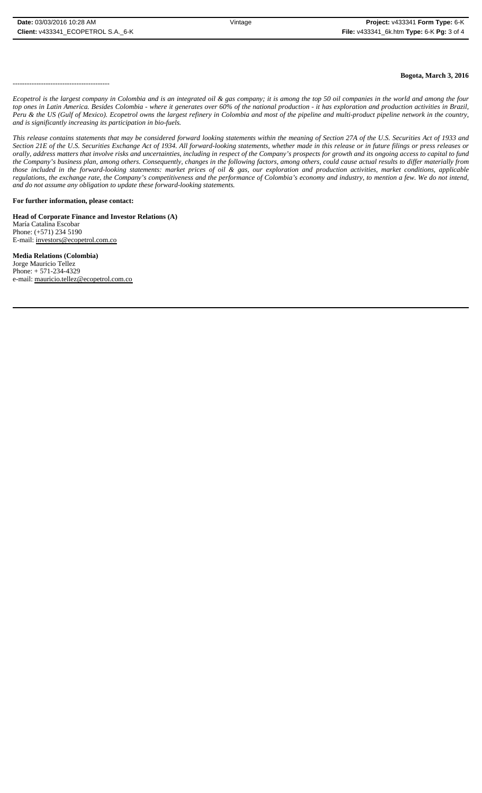**Bogota, March 3, 2016**

-----------------------------------------

*Ecopetrol is the largest company in Colombia and is an integrated oil & gas company; it is among the top 50 oil companies in the world and among the four top ones in Latin America. Besides Colombia - where it generates over 60% of the national production - it has exploration and production activities in Brazil, Peru & the US (Gulf of Mexico). Ecopetrol owns the largest refinery in Colombia and most of the pipeline and multi-product pipeline network in the country, and is significantly increasing its participation in bio-fuels.*

*This release contains statements that may be considered forward looking statements within the meaning of Section 27A of the U.S. Securities Act of 1933 and Section 21E of the U.S. Securities Exchange Act of 1934. All forward-looking statements, whether made in this release or in future filings or press releases or* orally, address matters that involve risks and uncertainties, including in respect of the Company's prospects for growth and its ongoing access to capital to fund *the Company's business plan, among others. Consequently, changes in the following factors, among others, could cause actual results to differ materially from those included in the forward-looking statements: market prices of oil & gas, our exploration and production activities, market conditions, applicable regulations, the exchange rate, the Company's competitiveness and the performance of Colombia's economy and industry, to mention a few. We do not intend, and do not assume any obligation to update these forward-looking statements.*

## **For further information, please contact:**

**Head of Corporate Finance and Investor Relations (A)**  María Catalina Escobar Phone: (+571) 234 5190 E-mail: investors@ecopetrol.com.co

**Media Relations (Colombia)**  Jorge Mauricio Tellez Phone: + 571-234-4329 e-mail: mauricio.tellez@ecopetrol.com.co